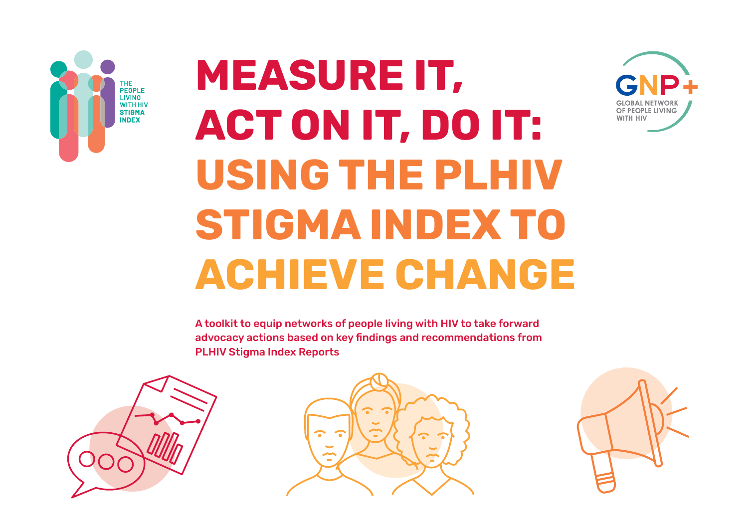

# **MEASURE IT, ACT ON IT, DO IT: USING THE PLHIV STIGMA INDEX TO ACHIEVE CHANGE**









OF PEOPLE LIVING

WITH HIV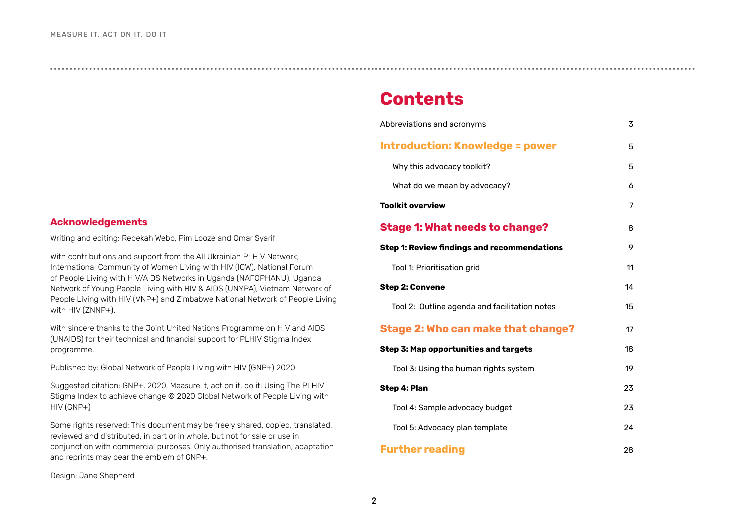**Contents**

| Abbreviations and acronyms                         | 3  |
|----------------------------------------------------|----|
| <b>Introduction: Knowledge = power</b>             | 5  |
| Why this advocacy toolkit?                         | 5  |
| What do we mean by advocacy?                       | 6  |
| <b>Toolkit overview</b>                            | 7  |
| <b>Stage 1: What needs to change?</b>              | 8  |
| <b>Step 1: Review findings and recommendations</b> | 9  |
| Tool 1: Prioritisation grid                        | 11 |
| <b>Step 2: Convene</b>                             | 14 |
| Tool 2: Outline agenda and facilitation notes      | 15 |
| <b>Stage 2: Who can make that change?</b>          | 17 |
| <b>Step 3: Map opportunities and targets</b>       | 18 |
| Tool 3: Using the human rights system              | 19 |
| Step 4: Plan                                       | 23 |
| Tool 4: Sample advocacy budget                     | 23 |
| Tool 5: Advocacy plan template                     | 24 |
| <b>Further reading</b>                             | 28 |

#### **Acknowledgements**

Writing and editing: Rebekah Webb, Pim Looze and Omar Syarif

With contributions and support from the All Ukrainian PLHIV Network, International Community of Women Living with HIV (ICW), National Forum of People Living with HIV/AIDS Networks in Uganda (NAFOPHANU), Uganda Network of Young People Living with HIV & AIDS (UNYPA), Vietnam Network of People Living with HIV (VNP+) and Zimbabwe National Network of People Living with HIV (ZNNP+).

With sincere thanks to the Joint United Nations Programme on HIV and AIDS (UNAIDS) for their technical and financial support for PLHIV Stigma Index programme.

Published by: Global Network of People Living with HIV (GNP+) 2020

Suggested citation: GNP+. 2020. Measure it, act on it, do it: Using The PLHIV Stigma Index to achieve change © 2020 Global Network of People Living with HIV (GNP+)

Some rights reserved: This document may be freely shared, copied, translated, reviewed and distributed, in part or in whole, but not for sale or use in conjunction with commercial purposes. Only authorised translation, adaptation and reprints may bear the emblem of GNP+.

Design: Jane Shepherd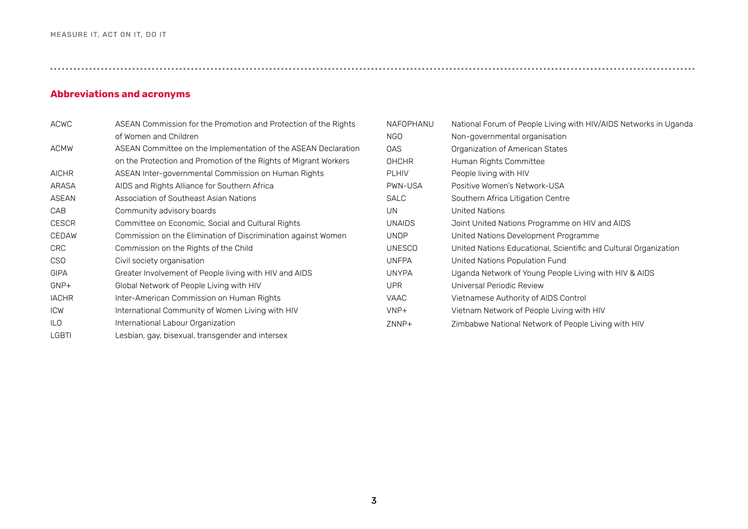#### <span id="page-2-0"></span>**Abbreviations and acronyms**

| <b>ACWC</b>     | ASEAN Commission for the Promotion and Protection of the Rights  |
|-----------------|------------------------------------------------------------------|
|                 | of Women and Children                                            |
| <b>ACMW</b>     | ASEAN Committee on the Implementation of the ASEAN Declaration   |
|                 | on the Protection and Promotion of the Rights of Migrant Workers |
| <b>AICHR</b>    | ASEAN Inter-governmental Commission on Human Rights              |
| ARASA           | AIDS and Rights Alliance for Southern Africa                     |
| ASEAN           | Association of Southeast Asian Nations                           |
| CAB             | Community advisory boards                                        |
| <b>CESCR</b>    | Committee on Economic, Social and Cultural Rights                |
| <b>CEDAW</b>    | Commission on the Elimination of Discrimination against Women    |
| <b>CRC</b>      | Commission on the Rights of the Child                            |
| CS <sub>O</sub> | Civil society organisation                                       |
| <b>GIPA</b>     | Greater Involvement of People living with HIV and AIDS           |
| GNP+            | Global Network of People Living with HIV                         |
| <b>IACHR</b>    | Inter-American Commission on Human Rights                        |
| <b>ICW</b>      | International Community of Women Living with HIV                 |
| ILO             | International Labour Organization                                |
| <b>LGBTI</b>    | Lesbian, gay, bisexual, transgender and intersex                 |

| NAFOPHANU     | National Forum of People Living with HIV/AIDS Networks in Uganda |
|---------------|------------------------------------------------------------------|
| NGO           | Non-governmental organisation                                    |
| 0AS           | Organization of American States                                  |
| <b>OHCHR</b>  | Human Rights Committee                                           |
| <b>PLHIV</b>  | People living with HIV                                           |
| PWN-USA       | Positive Women's Network-USA                                     |
| <b>SALC</b>   | Southern Africa Litigation Centre                                |
| UN.           | United Nations                                                   |
| <b>UNAIDS</b> | Joint United Nations Programme on HIV and AIDS                   |
| <b>UNDP</b>   | United Nations Development Programme                             |
| <b>UNESCO</b> | United Nations Educational, Scientific and Cultural Organization |
| <b>UNFPA</b>  | United Nations Population Fund                                   |
| <b>UNYPA</b>  | Uganda Network of Young People Living with HIV & AIDS            |
| <b>UPR</b>    | Universal Periodic Review                                        |
| <b>VAAC</b>   | Vietnamese Authority of AIDS Control                             |
| VNP+          | Vietnam Network of People Living with HIV                        |
| ZNNP+         | Zimbabwe National Network of People Living with HIV              |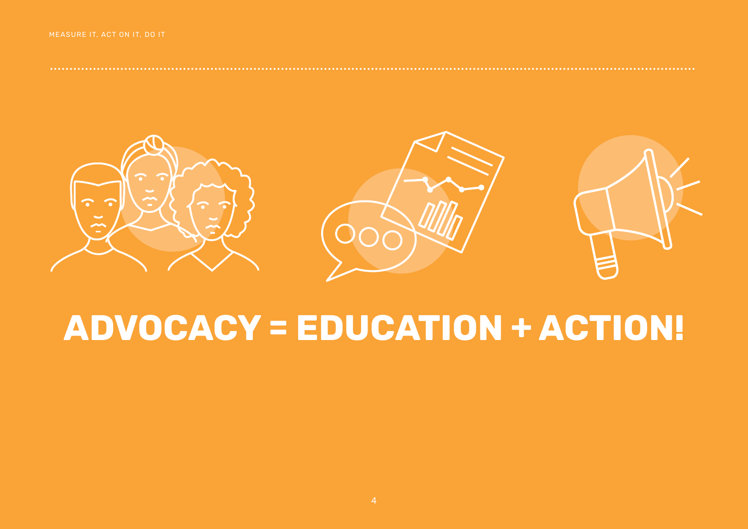

## ADVOCACY = EDUCATION + ACTION!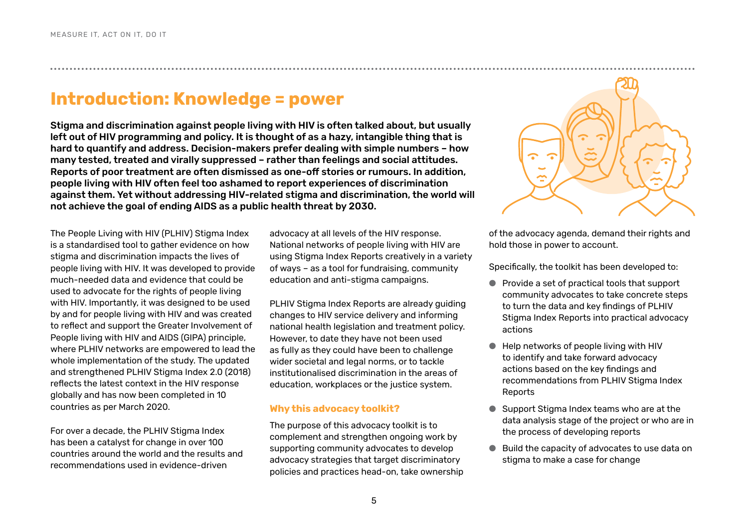## **Introduction: Knowledge = power**

Stigma and discrimination against people living with HIV is often talked about, but usually left out of HIV programming and policy. It is thought of as a hazy, intangible thing that is hard to quantify and address. Decision-makers prefer dealing with simple numbers – how many tested, treated and virally suppressed – rather than feelings and social attitudes. Reports of poor treatment are often dismissed as one-off stories or rumours. In addition, people living with HIV often feel too ashamed to report experiences of discrimination against them. Yet without addressing HIV-related stigma and discrimination, the world will not achieve the goal of ending AIDS as a public health threat by 2030.

The People Living with HIV (PLHIV) Stigma Index is a standardised tool to gather evidence on how stigma and discrimination impacts the lives of people living with HIV. It was developed to provide much-needed data and evidence that could be used to advocate for the rights of people living with HIV. Importantly, it was designed to be used by and for people living with HIV and was created to reflect and support the Greater Involvement of People living with HIV and AIDS (GIPA) principle, where PLHIV networks are empowered to lead the whole implementation of the study. The updated and strengthened PLHIV Stigma Index 2.0 (2018) reflects the latest context in the HIV response globally and has now been completed in 10 countries as per March 2020.

For over a decade, the PLHIV Stigma Index has been a catalyst for change in over 100 countries around the world and the results and recommendations used in evidence-driven

advocacy at all levels of the HIV response. National networks of people living with HIV are using Stigma Index Reports creatively in a variety of ways – as a tool for fundraising, community education and anti-stigma campaigns.

PLHIV Stigma Index Reports are already guiding changes to HIV service delivery and informing national health legislation and treatment policy. However, to date they have not been used as fully as they could have been to challenge wider societal and legal norms, or to tackle institutionalised discrimination in the areas of education, workplaces or the justice system.

#### **Why this advocacy toolkit?**

The purpose of this advocacy toolkit is to complement and strengthen ongoing work by supporting community advocates to develop advocacy strategies that target discriminatory policies and practices head-on, take ownership

<span id="page-4-0"></span>

of the advocacy agenda, demand their rights and hold those in power to account.

Specifically, the toolkit has been developed to:

- Provide a set of practical tools that support community advocates to take concrete steps to turn the data and key findings of PLHIV Stigma Index Reports into practical advocacy actions
- Help networks of people living with HIV to identify and take forward advocacy actions based on the key findings and recommendations from PLHIV Stigma Index Reports
- Support Stigma Index teams who are at the data analysis stage of the project or who are in the process of developing reports
- Build the capacity of advocates to use data on stigma to make a case for change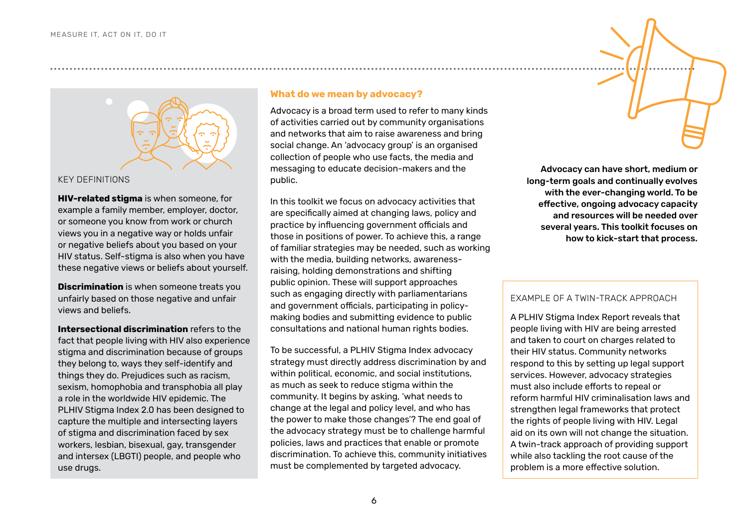<span id="page-5-0"></span>

#### KEY DEFINITIONS

**HIV-related stigma** is when someone, for example a family member, employer, doctor, or someone you know from work or church views you in a negative way or holds unfair or negative beliefs about you based on your HIV status. Self-stigma is also when you have these negative views or beliefs about yourself.

**Discrimination** is when someone treats you unfairly based on those negative and unfair views and beliefs.

**Intersectional discrimination** refers to the fact that people living with HIV also experience stigma and discrimination because of groups they belong to, ways they self-identify and things they do. Prejudices such as racism, sexism, homophobia and transphobia all play a role in the worldwide HIV epidemic. The PLHIV Stigma Index 2.0 has been designed to capture the multiple and intersecting layers of stigma and discrimination faced by sex workers, lesbian, bisexual, gay, transgender and intersex (LBGTI) people, and people who use drugs.

#### **What do we mean by advocacy?**

Advocacy is a broad term used to refer to many kinds of activities carried out by community organisations and networks that aim to raise awareness and bring social change. An 'advocacy group' is an organised collection of people who use facts, the media and messaging to educate decision-makers and the public.

In this toolkit we focus on advocacy activities that are specifically aimed at changing laws, policy and practice by influencing government officials and those in positions of power. To achieve this, a range of familiar strategies may be needed, such as working with the media, building networks, awarenessraising, holding demonstrations and shifting public opinion. These will support approaches such as engaging directly with parliamentarians and government officials, participating in policymaking bodies and submitting evidence to public consultations and national human rights bodies.

To be successful, a PLHIV Stigma Index advocacy strategy must directly address discrimination by and within political, economic, and social institutions, as much as seek to reduce stigma within the community. It begins by asking, 'what needs to change at the legal and policy level, and who has the power to make those changes'? The end goal of the advocacy strategy must be to challenge harmful policies, laws and practices that enable or promote discrimination. To achieve this, community initiatives must be complemented by targeted advocacy.

Advocacy can have short, medium or long-term goals and continually evolves with the ever-changing world. To be effective, ongoing advocacy capacity and resources will be needed over several years. This toolkit focuses on how to kick-start that process.

#### EXAMPLE OF A TWIN-TRACK APPROACH

A PLHIV Stigma Index Report reveals that people living with HIV are being arrested and taken to court on charges related to their HIV status. Community networks respond to this by setting up legal support services. However, advocacy strategies must also include efforts to repeal or reform harmful HIV criminalisation laws and strengthen legal frameworks that protect the rights of people living with HIV. Legal aid on its own will not change the situation. A twin-track approach of providing support while also tackling the root cause of the problem is a more effective solution.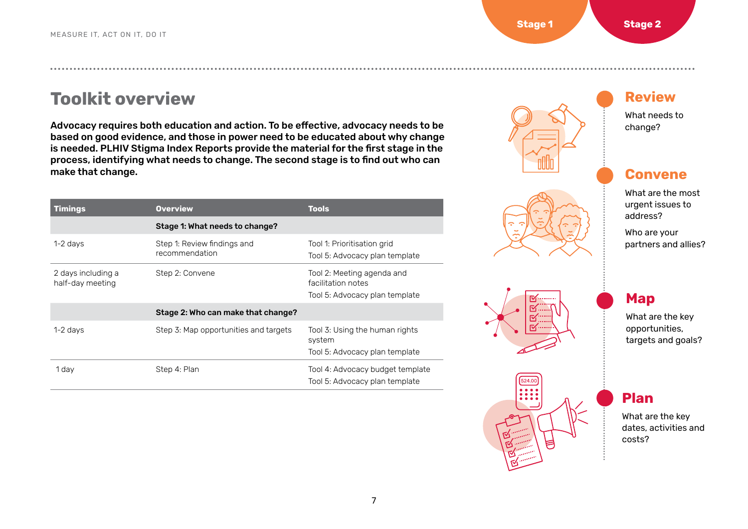## <span id="page-6-0"></span>**Toolkit overview**

Advocacy requires both education and action. To be effective, advocacy needs to be based on good evidence, and those in power need to be educated about why change is needed. PLHIV Stigma Index Reports provide the material for the first stage in the process, identifying what needs to change. The second stage is to find out who can make that change.

| <b>Timings</b>                         | <b>Overview</b>                               | <b>Tools</b>                                                                       |
|----------------------------------------|-----------------------------------------------|------------------------------------------------------------------------------------|
|                                        | Stage 1: What needs to change?                |                                                                                    |
| $1-2$ days                             | Step 1: Review findings and<br>recommendation | Tool 1: Prioritisation grid<br>Tool 5: Advocacy plan template                      |
| 2 days including a<br>half-day meeting | Step 2: Convene                               | Tool 2: Meeting agenda and<br>facilitation notes<br>Tool 5: Advocacy plan template |
|                                        | Stage 2: Who can make that change?            |                                                                                    |
| 1-2 days                               | Step 3: Map opportunities and targets         | Tool 3: Using the human rights<br>system<br>Tool 5: Advocacy plan template         |
| 1 day                                  | Step 4: Plan                                  | Tool 4: Advocacy budget template<br>Tool 5: Advocacy plan template                 |









## **Review**

What needs to change?

## **Convene**

What are the most urgent issues to address?

Who are your partners and allies?

## **Map**

,我们也不能在我们的,我们也不能在我们的,我们还不能在我们的,我们还不能在我们的,我们还不能在我们的,我们还不能在我们的,我们还不能在我们的,我们还不能在我们的,

● ● ● ● ● ● ● ● ● What are the key opportunities, targets and goals?

### **Plan**

What are the key dates, activities and costs?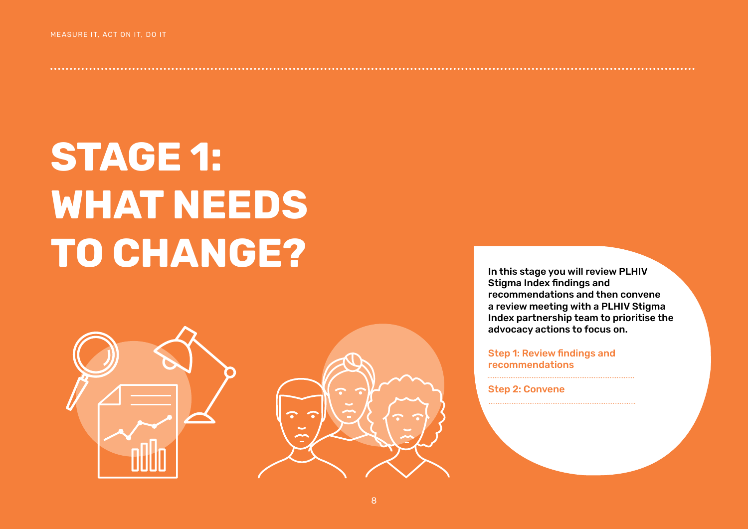# <span id="page-7-0"></span>**STAGE 1: WHAT NEEDS TO CHANGE?**



In this stage you will review PLHIV Stigma Index findings and recommendations and then convene a review meeting with a PLHIV Stigma Index partnership team to prioritise the advocacy actions to focus on.

Step 1: Review findings and recommendations

Step 2: Convene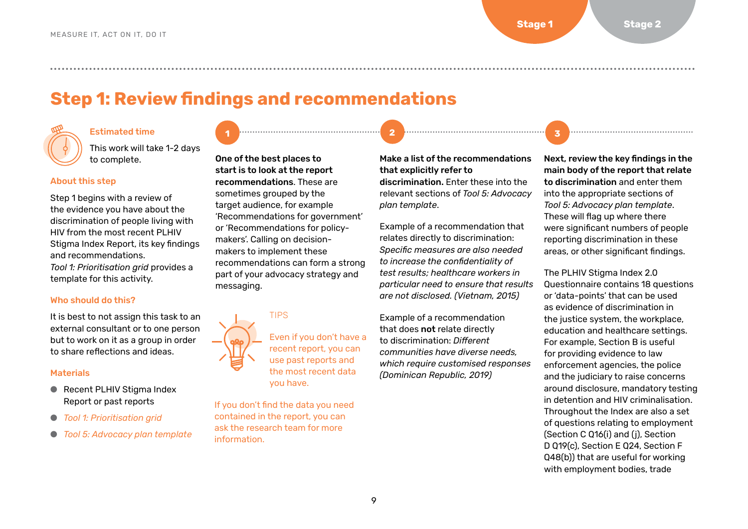## **Step 1: Review findings and recommendations**

#### Estimated time

This work will take 1-2 days to complete.

#### About this step

Step 1 begins with a review of the evidence you have about the discrimination of people living with HIV from the most recent PLHIV Stigma Index Report, its key findings and recommendations. *Tool 1: Prioritisation grid* provides a template for this activity.

#### Who should do this?

It is best to not assign this task to an external consultant or to one person but to work on it as a group in order to share reflections and ideas.

#### **Materials**

- Recent PLHIV Stigma Index Report or past reports
- *[Tool 1: Prioritisation grid](#page-10-0)*
- *[Tool 5: Advocacy plan template](#page-23-0)*

One of the best places to start is to look at the report recommendations. These are sometimes grouped by the target audience, for example 'Recommendations for government' or 'Recommendations for policymakers'. Calling on decisionmakers to implement these recommendations can form a strong part of your advocacy strategy and messaging.



Even if you don't have a recent report, you can use past reports and the most recent data you have.

If you don't find the data you need contained in the report, you can ask the research team for more information.

#### Make a list of the recommendations that explicitly refer to

<u>, personalisering y personalisering y personalisering y personalisering and the second second second second second</u>

discrimination. Enter these into the relevant sections of *Tool 5: Advocacy plan template*.

Example of a recommendation that relates directly to discrimination: *Specific measures are also needed to increase the confidentiality of test results; healthcare workers in particular need to ensure that results are not disclosed. (Vietnam, 2015)*

Example of a recommendation that does not relate directly to discrimination: *Different communities have diverse needs, which require customised responses (Dominican Republic, 2019)*

Next, review the key findings in the main body of the report that relate to discrimination and enter them into the appropriate sections of *Tool 5: Advocacy plan template*. These will flag up where there were significant numbers of people reporting discrimination in these areas, or other significant findings.

The PLHIV Stigma Index 2.0 Questionnaire contains 18 questions or 'data-points' that can be used as evidence of discrimination in the justice system, the workplace, education and healthcare settings. For example, Section B is useful for providing evidence to law enforcement agencies, the police and the judiciary to raise concerns around disclosure, mandatory testing in detention and HIV criminalisation. Throughout the Index are also a set of questions relating to employment (Section C Q16(i) and (j), Section D Q19(c), Section E Q24, Section F Q48(b)) that are useful for working with employment bodies, trade

<span id="page-8-0"></span>● ● ● ● ● ● ● ● ● ● ● ● ● ● ● ● ● ● ● ● ● ● ● ● ● ● ● ● ● ● ● ● ● ● ● ● ● ● ● ● ● ● ● ● ● ● ● ● ● ● ● ● ● ● ● ● ● ● ● ● ● ● ● ● ● ● ● ● ● ● ● ● ● ● ● ● ● ● ● ● ● ● ● ● ● ● ● ● ● ● ● ● ● ● ● ● ● ● ● ● ● ● ● ● ● ● ● ● ● ● ● ● ● ● ● ● ● ● ● ● ● ● ● ● ● ● ● ● ● ● ● ● ● ● ● ● ● ● ● ● ● ● ● ● ● ● ● ● ● ● ● ● ● ● ● ● ● ● ● ● ● ● ● ● ●

**1 2 3**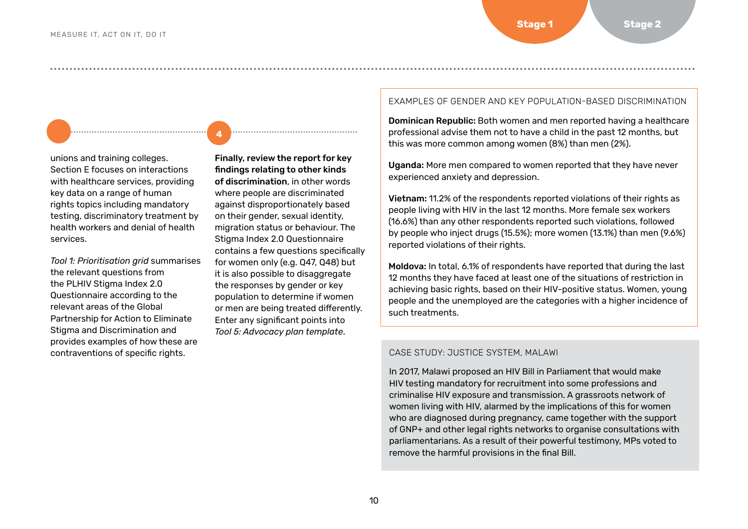unions and training colleges. Section E focuses on interactions with healthcare services, providing key data on a range of human rights topics including mandatory testing, discriminatory treatment by health workers and denial of health services.

**4 4**

● ● ● ● ● ● ● ● ● ● ● ● ● ● ● ● ● ● ● ● ● ● ● ● ● ● ● ● ● ● ● ● ● ● ● ● ● ● ● ● ● ● ● ● ● ● ● ● ● ● ● ● ● ● ● ● ● ● ● ● ● ● ● ● ● ● ● ● ● ● ● ● ● ● ● ● ● ● ● ● ● ● ● ● ● ● ● ● ● ● ● ● ● ● ● ● ● ● ● ● ● ● ● ● ● ● ● ● ● ● ● ● ● ● ● ● ● ●

*Tool 1: Prioritisation grid* summarises the relevant questions from the PLHIV Stigma Index 2.0 Questionnaire according to the relevant areas of the [Global](https://www.unaids.org/en/resources/documents/2018/global-partnership-hiv-stigma-discrimination)  [Partnership for Action to Eliminate](https://www.unaids.org/en/resources/documents/2018/global-partnership-hiv-stigma-discrimination)  [Stigma and Discrimination](https://www.unaids.org/en/resources/documents/2018/global-partnership-hiv-stigma-discrimination) and provides examples of how these are contraventions of specific rights.

Finally, review the report for key findings relating to other kinds of discrimination, in other words where people are discriminated against disproportionately based on their gender, sexual identity, migration status or behaviour. The Stigma Index 2.0 Questionnaire contains a few questions specifically for women only (e.g. Q47, Q48) but it is also possible to disaggregate the responses by gender or key population to determine if women or men are being treated differently. Enter any significant points into *Tool 5: Advocacy plan template*.

#### EXAMPLES OF GENDER AND KEY POPULATION-BASED DISCRIMINATION

Dominican Republic: Both women and men reported having a healthcare professional advise them not to have a child in the past 12 months, but this was more common among women (8%) than men (2%).

Uganda: More men compared to women reported that they have never experienced anxiety and depression.

Vietnam: 11.2% of the respondents reported violations of their rights as people living with HIV in the last 12 months. More female sex workers (16.6%) than any other respondents reported such violations, followed by people who inject drugs (15.5%); more women (13.1%) than men (9.6%) reported violations of their rights.

Moldova: In total, 6.1% of respondents have reported that during the last 12 months they have faced at least one of the situations of restriction in achieving basic rights, based on their HIV-positive status. Women, young people and the unemployed are the categories with a higher incidence of such treatments.

#### CASE STUDY: JUSTICE SYSTEM, MALAWI

In 2017, Malawi proposed an HIV Bill in Parliament that would make HIV testing mandatory for recruitment into some professions and criminalise HIV exposure and transmission. A grassroots network of women living with HIV, alarmed by the implications of this for women who are diagnosed during pregnancy, came together with the support of GNP+ and other legal rights networks to organise consultations with parliamentarians. As a result of their powerful testimony, MPs voted to remove the harmful provisions in the final Bill.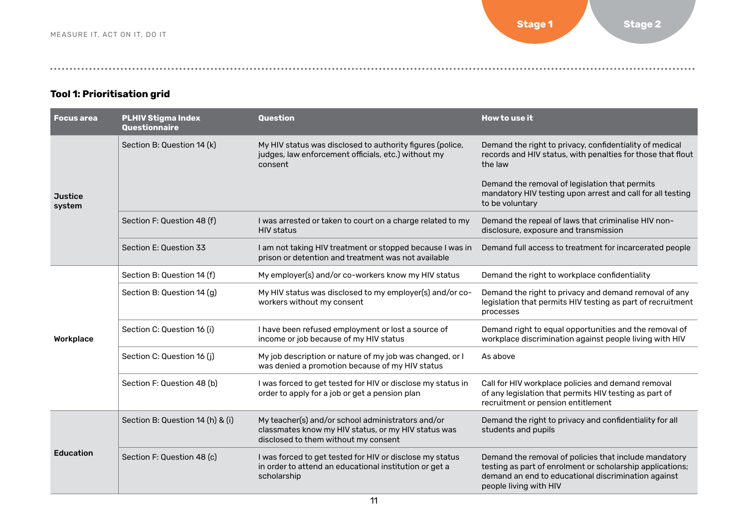#### <span id="page-10-0"></span>**Tool 1: Prioritisation grid**

| <b>Focus area</b>        | <b>PLHIV Stigma Index</b><br>Questionnaire | Question                                                                                                                                         | How to use it                                                                                                                                                                                       |
|--------------------------|--------------------------------------------|--------------------------------------------------------------------------------------------------------------------------------------------------|-----------------------------------------------------------------------------------------------------------------------------------------------------------------------------------------------------|
|                          | Section B: Question 14 (k)                 | My HIV status was disclosed to authority figures (police,<br>judges, law enforcement officials, etc.) without my<br>consent                      | Demand the right to privacy, confidentiality of medical<br>records and HIV status, with penalties for those that flout<br>the law                                                                   |
| <b>Justice</b><br>system |                                            |                                                                                                                                                  | Demand the removal of legislation that permits<br>mandatory HIV testing upon arrest and call for all testing<br>to be voluntary                                                                     |
|                          | Section F: Question 48 (f)                 | I was arrested or taken to court on a charge related to my<br><b>HIV</b> status                                                                  | Demand the repeal of laws that criminalise HIV non-<br>disclosure, exposure and transmission                                                                                                        |
|                          | Section E: Question 33                     | I am not taking HIV treatment or stopped because I was in<br>prison or detention and treatment was not available                                 | Demand full access to treatment for incarcerated people                                                                                                                                             |
|                          | Section B: Question 14 (f)                 | My employer(s) and/or co-workers know my HIV status                                                                                              | Demand the right to workplace confidentiality                                                                                                                                                       |
|                          | Section B: Question 14 (g)                 | My HIV status was disclosed to my employer(s) and/or co-<br>workers without my consent                                                           | Demand the right to privacy and demand removal of any<br>legislation that permits HIV testing as part of recruitment<br>processes                                                                   |
| Workplace                | Section C: Question 16 (i)                 | I have been refused employment or lost a source of<br>income or job because of my HIV status                                                     | Demand right to equal opportunities and the removal of<br>workplace discrimination against people living with HIV                                                                                   |
|                          | Section C: Question 16 (j)                 | My job description or nature of my job was changed, or I<br>was denied a promotion because of my HIV status                                      | As above                                                                                                                                                                                            |
|                          | Section F: Question 48 (b)                 | I was forced to get tested for HIV or disclose my status in<br>order to apply for a job or get a pension plan                                    | Call for HIV workplace policies and demand removal<br>of any legislation that permits HIV testing as part of<br>recruitment or pension entitlement                                                  |
|                          | Section B: Question 14 (h) & (i)           | My teacher(s) and/or school administrators and/or<br>classmates know my HIV status, or my HIV status was<br>disclosed to them without my consent | Demand the right to privacy and confidentiality for all<br>students and pupils                                                                                                                      |
| <b>Education</b>         | Section F: Question 48 (c)                 | I was forced to get tested for HIV or disclose my status<br>in order to attend an educational institution or get a<br>scholarship                | Demand the removal of policies that include mandatory<br>testing as part of enrolment or scholarship applications;<br>demand an end to educational discrimination against<br>people living with HIV |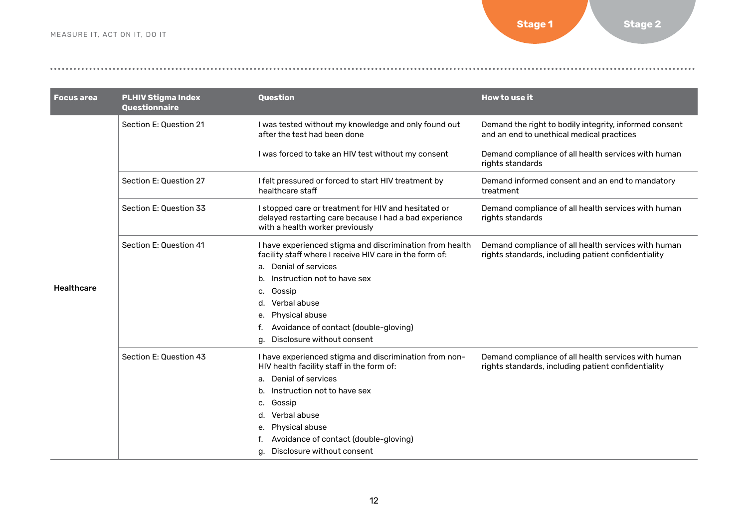**[Stage 1](#page-7-0) [Stage 2](#page-16-0)** 

| <b>Focus area</b> | <b>PLHIV Stigma Index</b><br>Questionnaire | <b>Question</b>                                                                                                                                   | How to use it                                                                                                                                                                                                                                                                                       |
|-------------------|--------------------------------------------|---------------------------------------------------------------------------------------------------------------------------------------------------|-----------------------------------------------------------------------------------------------------------------------------------------------------------------------------------------------------------------------------------------------------------------------------------------------------|
|                   | Section E: Question 21                     | I was tested without my knowledge and only found out<br>after the test had been done                                                              | Demand the right to bodily integrity, informed consent<br>and an end to unethical medical practices                                                                                                                                                                                                 |
|                   |                                            | I was forced to take an HIV test without my consent                                                                                               | Demand compliance of all health services with human<br>rights standards                                                                                                                                                                                                                             |
|                   | Section E: Question 27                     | I felt pressured or forced to start HIV treatment by<br>healthcare staff                                                                          | Demand informed consent and an end to mandatory<br>treatment                                                                                                                                                                                                                                        |
|                   | Section E: Question 33                     | I stopped care or treatment for HIV and hesitated or<br>delayed restarting care because I had a bad experience<br>with a health worker previously | Demand compliance of all health services with human<br>rights standards<br>Demand compliance of all health services with human<br>rights standards, including patient confidentiality<br>Demand compliance of all health services with human<br>rights standards, including patient confidentiality |
|                   | Section E: Question 41                     | I have experienced stigma and discrimination from health<br>facility staff where I receive HIV care in the form of:                               |                                                                                                                                                                                                                                                                                                     |
|                   |                                            | a. Denial of services                                                                                                                             |                                                                                                                                                                                                                                                                                                     |
|                   |                                            | Instruction not to have sex                                                                                                                       |                                                                                                                                                                                                                                                                                                     |
| <b>Healthcare</b> |                                            | Gossip<br>c.                                                                                                                                      |                                                                                                                                                                                                                                                                                                     |
|                   |                                            | Verbal abuse                                                                                                                                      |                                                                                                                                                                                                                                                                                                     |
|                   |                                            | Physical abuse<br>е.                                                                                                                              |                                                                                                                                                                                                                                                                                                     |
|                   |                                            | Avoidance of contact (double-gloving)<br>f.                                                                                                       |                                                                                                                                                                                                                                                                                                     |
|                   |                                            | Disclosure without consent<br>g.                                                                                                                  |                                                                                                                                                                                                                                                                                                     |
|                   | Section E: Question 43                     | I have experienced stigma and discrimination from non-<br>HIV health facility staff in the form of:                                               |                                                                                                                                                                                                                                                                                                     |
|                   |                                            | Denial of services<br>a.                                                                                                                          |                                                                                                                                                                                                                                                                                                     |
|                   |                                            | Instruction not to have sex<br>b.                                                                                                                 |                                                                                                                                                                                                                                                                                                     |
|                   |                                            | Gossip<br>c.                                                                                                                                      |                                                                                                                                                                                                                                                                                                     |
|                   |                                            | Verbal abuse<br>d.                                                                                                                                |                                                                                                                                                                                                                                                                                                     |
|                   |                                            | <b>Physical abuse</b><br>е.                                                                                                                       |                                                                                                                                                                                                                                                                                                     |
|                   |                                            | Avoidance of contact (double-gloving)                                                                                                             |                                                                                                                                                                                                                                                                                                     |
|                   |                                            | Disclosure without consent<br>q.                                                                                                                  |                                                                                                                                                                                                                                                                                                     |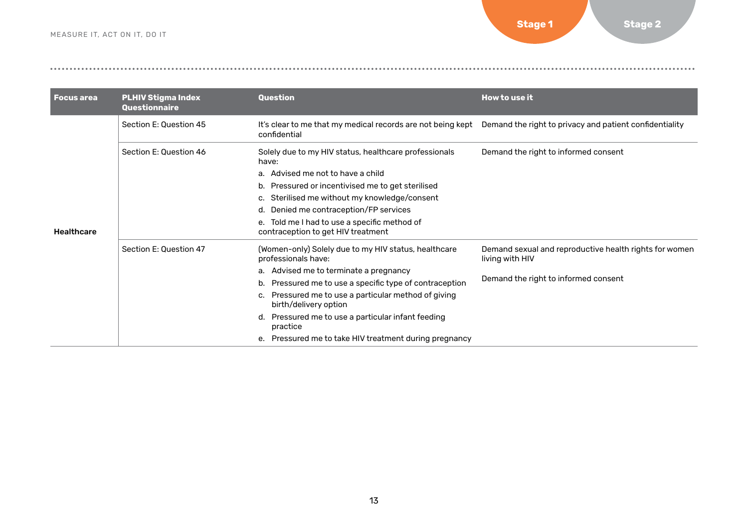| <b>Focus area</b> | <b>PLHIV Stigma Index</b><br>Questionnaire | Question                                                                                                                                                                                                                                                                                                                                                                                                     | How to use it                                                                                                     |
|-------------------|--------------------------------------------|--------------------------------------------------------------------------------------------------------------------------------------------------------------------------------------------------------------------------------------------------------------------------------------------------------------------------------------------------------------------------------------------------------------|-------------------------------------------------------------------------------------------------------------------|
|                   | Section E: Question 45                     | It's clear to me that my medical records are not being kept<br>confidential                                                                                                                                                                                                                                                                                                                                  | Demand the right to privacy and patient confidentiality                                                           |
| <b>Healthcare</b> | Section E: Question 46                     | Solely due to my HIV status, healthcare professionals<br>have:<br>Advised me not to have a child<br>а.<br>Pressured or incentivised me to get sterilised<br>b.<br>Sterilised me without my knowledge/consent<br>c.<br>Denied me contraception/FP services<br>d.<br>Told me I had to use a specific method of<br>е.<br>contraception to get HIV treatment                                                     | Demand the right to informed consent                                                                              |
|                   | Section E: Question 47                     | (Women-only) Solely due to my HIV status, healthcare<br>professionals have:<br>Advised me to terminate a pregnancy<br>a.<br>Pressured me to use a specific type of contraception<br>b.<br>Pressured me to use a particular method of giving<br>с.<br>birth/delivery option<br>Pressured me to use a particular infant feeding<br>d.<br>practice<br>Pressured me to take HIV treatment during pregnancy<br>е. | Demand sexual and reproductive health rights for women<br>living with HIV<br>Demand the right to informed consent |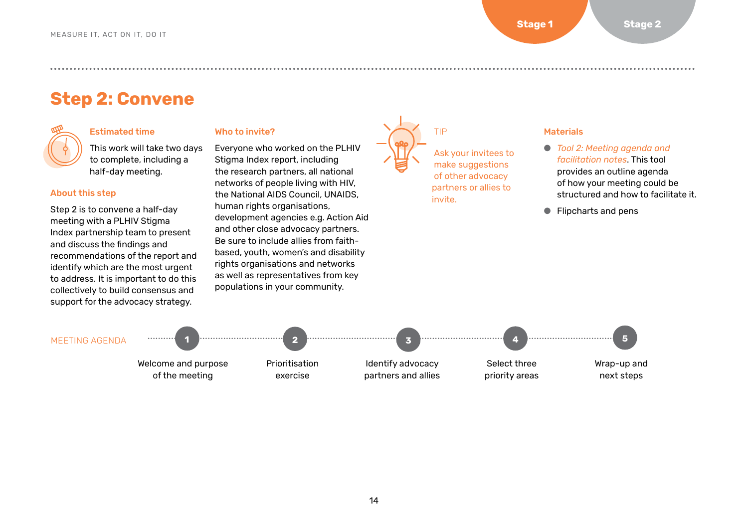## <span id="page-13-0"></span>**Step 2: Convene**



#### Estimated time

This work will take two days to complete, including a half-day meeting.

#### About this step

Step 2 is to convene a half-day meeting with a PLHIV Stigma Index partnership team to present and discuss the findings and recommendations of the report and identify which are the most urgent to address. It is important to do this collectively to build consensus and support for the advocacy strategy.

#### Who to invite?

Everyone who worked on the PLHIV Stigma Index report, including the research partners, all national networks of people living with HIV, the National AIDS Council, UNAIDS, human rights organisations, development agencies e.g. Action Aid and other close advocacy partners. Be sure to include allies from faithbased, youth, women's and disability rights organisations and networks as well as representatives from key populations in your community.



#### Materials

- *[Tool 2: Meeting agenda and](#page-14-0)  [facilitation notes](#page-14-0)*. This tool provides an outline agenda of how your meeting could be structured and how to facilitate it.
- Flipcharts and pens

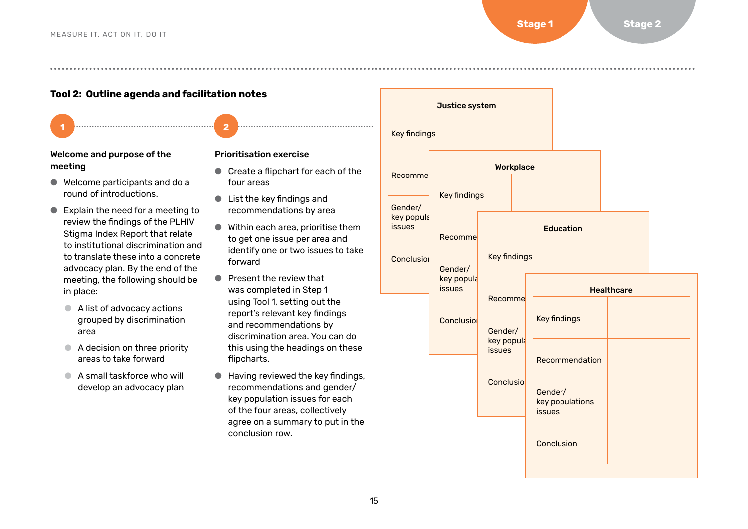**Tool 2: Outline agenda and facilitation notes**

- Welcome and purpose of the meeting
- Welcome participants and do a round of introductions.
- Explain the need for a meeting to review the findings of the PLHIV Stigma Index Report that relate to institutional discrimination and to translate these into a concrete advocacy plan. By the end of the meeting, the following should be in place:
	- A list of advocacy actions grouped by discrimination area
	- A decision on three priority areas to take forward
	- A small taskforce who will develop an advocacy plan

#### Prioritisation exercise

<u>. 1 Januari - Januari - Januari - 2 Januari - 2 Januari - 2 Januari - 2 Januari - 2 Januari - 2 Januari - 2 Januari - 2 Januari - 2 Januari - 2 Januari - 2 Januari - 2 Januari - 2 Januari - 2 Januari - 2 Januari - 2 Janua</u>

- Create a flipchart for each of the four areas
- List the key findings and recommendations by area
- Within each area, prioritise them to get one issue per area and identify one or two issues to take forward
- Present the review that was completed in Step 1 using Tool 1, setting out the report's relevant key findings and recommendations by discrimination area. You can do this using the headings on these flipcharts.
- Having reviewed the key findings, recommendations and gender/ key population issues for each of the four areas, collectively agree on a summary to put in the conclusion row.

<span id="page-14-0"></span>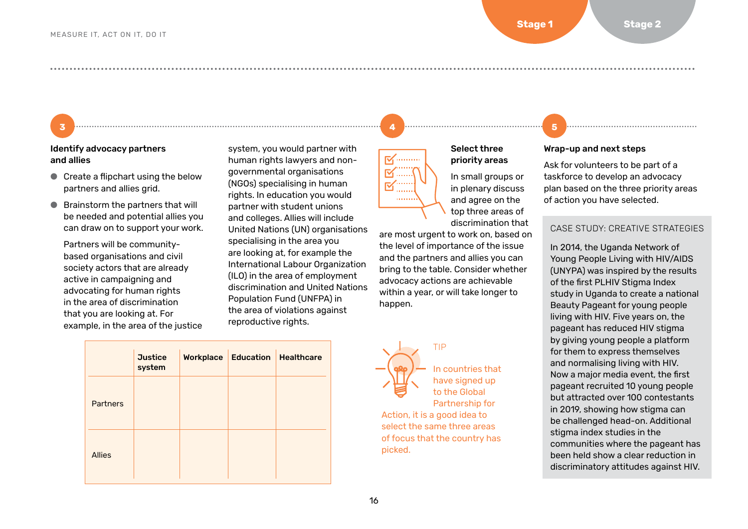#### Identify advocacy partners and allies

- Create a flipchart using the below partners and allies grid.
- Brainstorm the partners that will be needed and potential allies you can draw on to support your work.

Partners will be communitybased organisations and civil society actors that are already active in campaigning and advocating for human rights in the area of discrimination that you are looking at. For example, in the area of the justice

system, you would partner with human rights lawyers and nongovernmental organisations (NGOs) specialising in human rights. In education you would partner with student unions and colleges. Allies will include United Nations (UN) organisations specialising in the area you are looking at, for example the International Labour Organization (ILO) in the area of employment discrimination and United Nations Population Fund (UNFPA) in the area of violations against reproductive rights.

|                 | <b>Justice</b><br>system | <b>Workplace</b> | <b>Education Healthcare</b> |  |
|-----------------|--------------------------|------------------|-----------------------------|--|
| <b>Partners</b> |                          |                  |                             |  |
| <b>Allies</b>   |                          |                  |                             |  |

# $\nabla_1$  ........

● ● ● ● ● ● ● ● ● ● ● ● ● ● ● ● ● ● ● ● ● ● ● ● ● ● ● ● ● ● ● ● ● ● ● ● ● ● ● ● ● ● ● ● ● ● ● ● ● ● ● ● ● ● ● ● ● ● ● ● ● ● ● ● ● ● ● ● ● ● ● ● ● ● ● ● ● ● ● ● ● ● ● ● ● ● ● ● ● ● ● ● ● ● ● ● ● ● ● ● ● ● ● ● ● ● ● ● ● ● ● ● ● ● ● ● ● ● ● ● ● ● ● ● ● ● ● ● ● ● ● ● ● ● ● ● ● ● ● ● ● ● ● ● ● ● ● ● ● ● ● ● ● ● ● ● ● ● ● ● ● ● ● ● ●



In small groups or in plenary discuss and agree on the top three areas of

are most urgent to work on, based on the level of importance of the issue and the partners and allies you can bring to the table. Consider whether advocacy actions are achievable within a year, or will take longer to happen.

Select three priority areas

discrimination that



In countries that have signed up to the [Global](https://www.unaids.org/en/resources/documents/2018/global-partnership-hiv-stigma-discrimination) 

[Partnership for](https://www.unaids.org/en/resources/documents/2018/global-partnership-hiv-stigma-discrimination)  [Action,](https://www.unaids.org/en/resources/documents/2018/global-partnership-hiv-stigma-discrimination) it is a good idea to select the same three areas of focus that the country has picked.

## <u>(3) and the set of the set of the set of the set of the set of the set of the set of the set of the set of the set of the set of the set of the set of the set of the set of the set of the set of the set of the set of the </u>

#### Wrap-up and next steps

Ask for volunteers to be part of a taskforce to develop an advocacy plan based on the three priority areas of action you have selected.

#### CASE STUDY: CREATIVE STRATEGIES

In 2014, the Uganda Network of Young People Living with HIV/AIDS (UNYPA) was inspired by the results of the first PLHIV Stigma Index study in Uganda to create a national Beauty Pageant for young people living with HIV. Five years on, the pageant has reduced HIV stigma by giving young people a platform for them to express themselves and normalising living with HIV. Now a major media event, the first pageant recruited 10 young people but attracted over 100 contestants in 2019, showing how stigma can be challenged head-on. Additional stigma index studies in the communities where the pageant has been held show a clear reduction in discriminatory attitudes against HIV.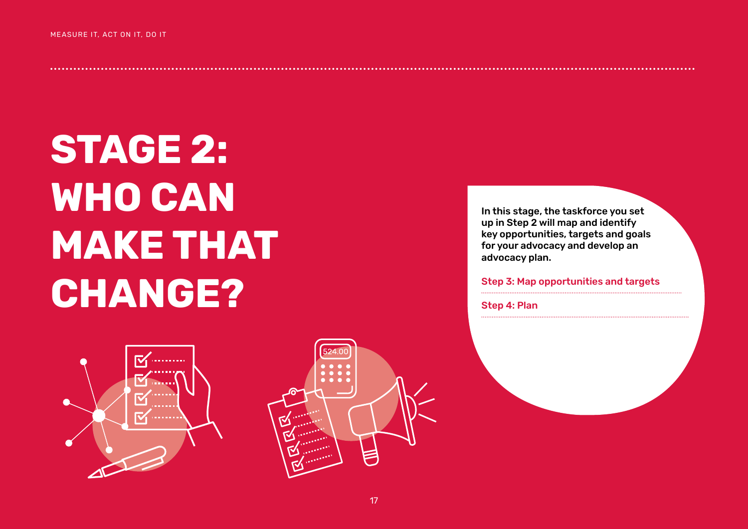# <span id="page-16-0"></span>**STAGE 2: WHO CAN MAKE THAT CHANGE?**





In this stage, the taskforce you set up in Step 2 will map and identify key opportunities, targets and goals for your advocacy and develop an advocacy plan.

Step 3: Map opportunities and targets

Step 4: Plan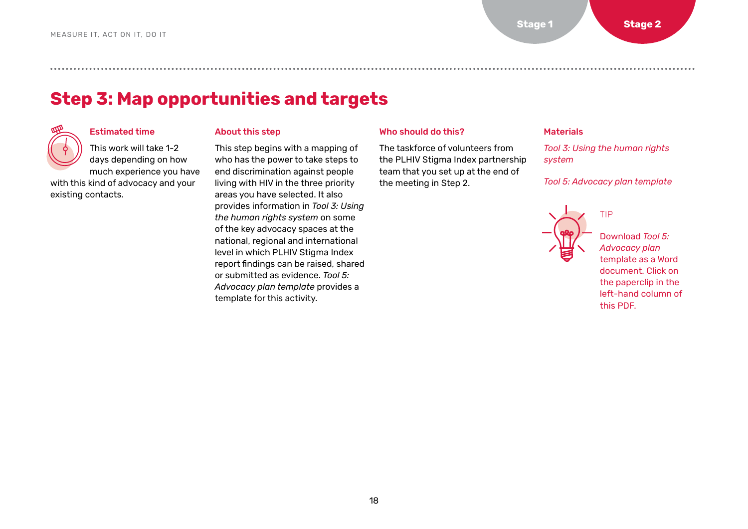## <span id="page-17-0"></span>**Step 3: Map opportunities and targets**



existing contacts.

#### Estimated time

This work will take 1-2 days depending on how much experience you have with this kind of advocacy and your

#### About this step

This step begins with a mapping of who has the power to take steps to end discrimination against people living with HIV in the three priority areas you have selected. It also provides information in *Tool 3: Using the human rights system* on some of the key advocacy spaces at the national, regional and international level in which PLHIV Stigma Index report findings can be raised, shared or submitted as evidence. *Tool 5: Advocacy plan template* provides a template for this activity.

#### Who should do this?

The taskforce of volunteers from the PLHIV Stigma Index partnership team that you set up at the end of the meeting in Step 2.

#### Materials

*[Tool 3: Using the human rights](#page-18-0)  [system](#page-18-0)*

*[Tool 5: Advocacy plan template](#page-23-0)*



Download *Tool 5: Advocacy plan* template as a Word document. Click on the paperclip in the left-hand column of this PDF.

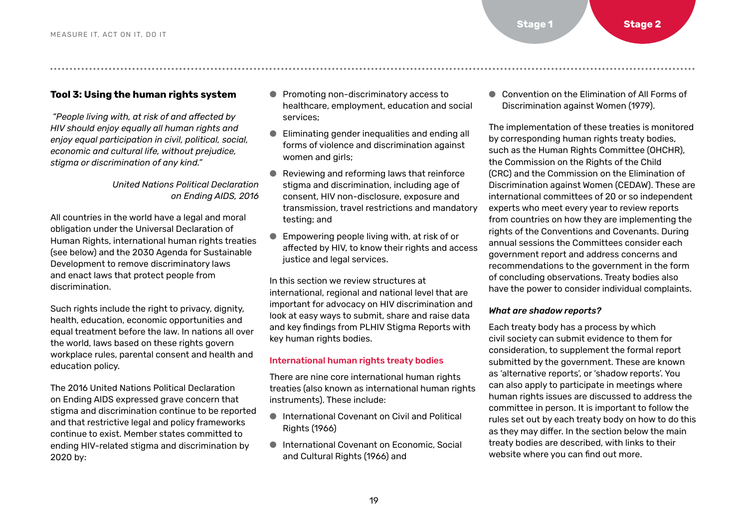#### <span id="page-18-0"></span>**Tool 3: Using the human rights system**

 *"People living with, at risk of and affected by HIV should enjoy equally all human rights and enjoy equal participation in civil, political, social, economic and cultural life, without prejudice, stigma or discrimination of any kind."* 

#### *United Nations Political Declaration on Ending AIDS, 2016*

All countries in the world have a legal and moral obligation under the Universal Declaration of Human Rights, international human rights treaties (see below) and the 2030 Agenda for Sustainable Development to remove discriminatory laws and enact laws that protect people from discrimination.

Such rights include the right to privacy, dignity, health, education, economic opportunities and equal treatment before the law. In nations all over the world, laws based on these rights govern workplace rules, parental consent and health and education policy.

The 2016 United Nations Political Declaration on Ending AIDS expressed grave concern that stigma and discrimination continue to be reported and that restrictive legal and policy frameworks continue to exist. Member states committed to ending HIV-related stigma and discrimination by 2020 by:

- Promoting non-discriminatory access to healthcare, employment, education and social services;
- Eliminating gender inequalities and ending all forms of violence and discrimination against women and girls;
- Reviewing and reforming laws that reinforce stigma and discrimination, including age of consent, HIV non-disclosure, exposure and transmission, travel restrictions and mandatory testing; and
- Empowering people living with, at risk of or affected by HIV, to know their rights and access justice and legal services.

In this section we review structures at international, regional and national level that are important for advocacy on HIV discrimination and look at easy ways to submit, share and raise data and key findings from PLHIV Stigma Reports with key human rights bodies.

#### International human rights treaty bodies

There are nine core international human rights treaties (also known as international human rights instruments). These include:

- International Covenant on Civil and Political Rights (1966)
- International Covenant on Economic, Social and Cultural Rights (1966) and

● Convention on the Flimination of All Forms of Discrimination against Women (1979).

The implementation of these treaties is monitored by corresponding human rights treaty bodies, such as the Human Rights Committee (OHCHR), the Commission on the Rights of the Child (CRC) and the Commission on the Elimination of Discrimination against Women (CEDAW). These are international committees of 20 or so independent experts who meet every year to review reports from countries on how they are implementing the rights of the Conventions and Covenants. During annual sessions the Committees consider each government report and address concerns and recommendations to the government in the form of concluding observations. Treaty bodies also have the power to consider individual complaints.

#### *What are shadow reports?*

Each treaty body has a process by which civil society can submit evidence to them for consideration, to supplement the formal report submitted by the government. These are known as 'alternative reports', or 'shadow reports'. You can also apply to participate in meetings where human rights issues are discussed to address the committee in person. It is important to follow the rules set out by each treaty body on how to do this as they may differ. In the section below the main treaty bodies are described, with links to their website where you can find out more.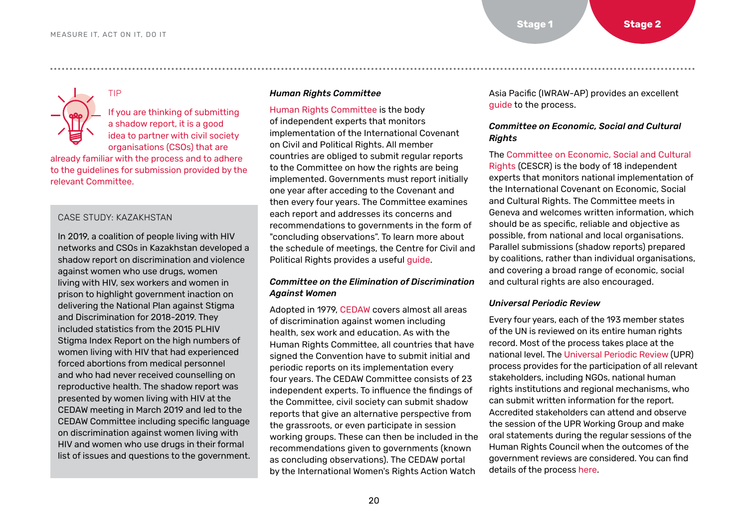TIP

If you are thinking of submitting a shadow report, it is a good idea to partner with civil society organisations (CSOs) that are

already familiar with the process and to adhere to the guidelines for submission provided by the relevant Committee.

#### CASE STUDY: KAZAKHSTAN

In 2019, a coalition of people living with HIV networks and CSOs in Kazakhstan developed a shadow report on discrimination and violence against women who use drugs, women living with HIV, sex workers and women in prison to highlight government inaction on delivering the National Plan against Stigma and Discrimination for 2018-2019. They included statistics from the 2015 PLHIV Stigma Index Report on the high numbers of women living with HIV that had experienced forced abortions from medical personnel and who had never received counselling on reproductive health. The shadow report was presented by women living with HIV at the CEDAW meeting in March 2019 and led to the CEDAW Committee including specific language on discrimination against women living with HIV and women who use drugs in their formal list of issues and questions to the government.

#### *[Human Rights Committee](https://www.ohchr.org/en/hrbodies/ccpr/pages/ccprindex.aspx)*

[Human Rights Committee](https://www.ohchr.org/en/hrbodies/ccpr/pages/ccprindex.aspx) is the body of independent experts that monitors implementation of the International Covenant on Civil and Political Rights. All member countries are obliged to submit regular reports to the Committee on how the rights are being implemented. Governments must report initially one year after acceding to the Covenant and then every four years. The Committee examines each report and addresses its concerns and recommendations to governments in the form of "concluding observations". To learn more about the schedule of meetings, the Centre for Civil and Political Rights provides a useful [guide](https://www.ohchr.org/Documents/HRBodies/CCPR/ListOfCountries.pdf).

● ● ● ● ● ● ● ● ● ● ● ● ● ● ● ● ● ● ● ● ● ● ● ● ● ● ● ● ● ● ● ● ● ● ● ● ● ● ● ● ● ● ● ● ● ● ● ● ● ● ● ● ● ● ● ● ● ● ● ● ● ● ● ● ● ● ● ● ● ● ● ● ● ● ● ● ● ● ● ● ● ● ● ● ● ● ● ● ● ● ● ● ● ● ● ● ● ● ● ● ● ● ● ● ● ● ● ● ● ● ● ● ● ● ● ● ● ● ● ● ● ● ● ● ● ● ● ● ● ● ● ● ● ● ● ● ● ● ● ● ● ● ● ● ● ● ● ● ● ● ● ● ● ● ● ● ● ● ● ● ● ● ● ● ●

#### *[Committee on the Elimination of Discrimination](https://www.ohchr.org/en/hrbodies/cedaw/pages/cedawindex.aspx)  [Against Women](https://www.ohchr.org/en/hrbodies/cedaw/pages/cedawindex.aspx)*

Adopted in 1979, [CEDAW](https://www.ohchr.org/en/hrbodies/cedaw/pages/cedawindex.aspx) covers almost all areas of discrimination against women including health, sex work and education. As with the Human Rights Committee, all countries that have signed the Convention have to submit initial and periodic reports on its implementation every four years. The CEDAW Committee consists of 23 independent experts. To influence the findings of the Committee, civil society can submit shadow reports that give an alternative perspective from the grassroots, or even participate in session working groups. These can then be included in the recommendations given to governments (known as concluding observations). The CEDAW portal by the International Women's Rights Action Watch

Asia Pacific (IWRAW-AP) provides an excellent [guide](https://cedaw.iwraw-ap.org/) to the process.

#### *[Committee on Economic, Social and Cultural](https://www.ohchr.org/en/hrbodies/cescr/pages/cescrindex.aspx)  [Rights](https://www.ohchr.org/en/hrbodies/cescr/pages/cescrindex.aspx)*

The [Committee on Economic, Social and Cultural](https://www.ohchr.org/en/hrbodies/cescr/pages/cescrindex.aspx)  [Rights](https://www.ohchr.org/en/hrbodies/cescr/pages/cescrindex.aspx) (CESCR) is the body of 18 independent experts that monitors national implementation of the International Covenant on Economic, Social and Cultural Rights. The Committee meets in Geneva and welcomes written information, which should be as specific, reliable and objective as possible, from national and local organisations. Parallel submissions (shadow reports) prepared by coalitions, rather than individual organisations, and covering a broad range of economic, social and cultural rights are also encouraged.

#### *[Universal Periodic Review](https://www.ohchr.org/en/hrbodies/upr/pages/basicfacts.aspx)*

Every four years, each of the 193 member states of the UN is reviewed on its entire human rights record. Most of the process takes place at the national level. The [Universal Periodic Review](https://www.ohchr.org/en/hrbodies/upr/pages/basicfacts.aspx) (UPR) process provides for the participation of all relevant stakeholders, including NGOs, national human rights institutions and regional mechanisms, who can submit written information for the report. Accredited stakeholders can attend and observe the session of the UPR Working Group and make oral statements during the regular sessions of the Human Rights Council when the outcomes of the government reviews are considered. You can find details of the process [here.](https://www.ohchr.org/EN/HRBodies/UPR/Pages/NgosNhris.aspx)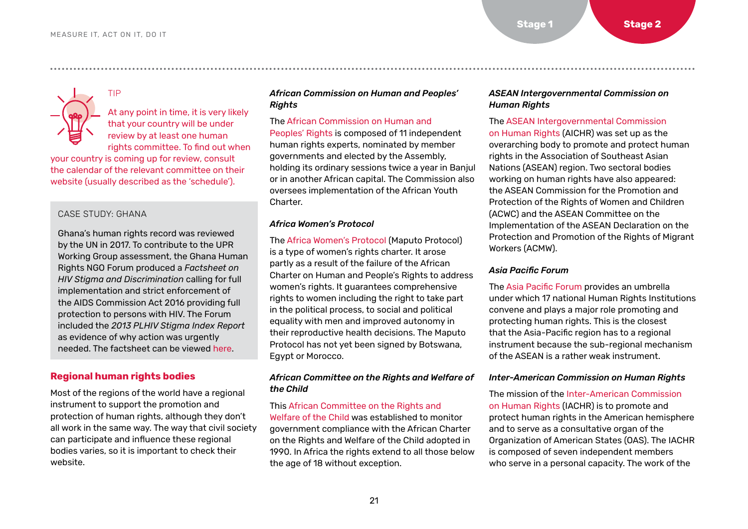TIP

#### At any point in time, it is very likely that your country will be under review by at least one human rights committee. To find out when

your country is coming up for review, consult the calendar of the relevant committee on their website (usually described as the 'schedule').

#### CASE STUDY: GHANA

Ghana's human rights record was reviewed by the UN in 2017. To contribute to the UPR Working Group assessment, the Ghana Human Rights NGO Forum produced a *Factsheet on HIV Stigma and Discrimination* calling for full implementation and strict enforcement of the AIDS Commission Act 2016 providing full protection to persons with HIV. The Forum included the *2013 PLHIV Stigma Index Report* as evidence of why action was urgently needed. The factsheet can be viewed [here.](https://www.upr-info.org/sites/default/files/general-document/pdf/hiv_factsheet.pdf)

#### **Regional human rights bodies**

Most of the regions of the world have a regional instrument to support the promotion and protection of human rights, although they don't all work in the same way. The way that civil society can participate and influence these regional bodies varies, so it is important to check their website.

#### *[African Commission on Human and Peoples'](https://www.achpr.org/ )  [Rights](https://www.achpr.org/ )*

● ● ● ● ● ● ● ● ● ● ● ● ● ● ● ● ● ● ● ● ● ● ● ● ● ● ● ● ● ● ● ● ● ● ● ● ● ● ● ● ● ● ● ● ● ● ● ● ● ● ● ● ● ● ● ● ● ● ● ● ● ● ● ● ● ● ● ● ● ● ● ● ● ● ● ● ● ● ● ● ● ● ● ● ● ● ● ● ● ● ● ● ● ● ● ● ● ● ● ● ● ● ● ● ● ● ● ● ● ● ● ● ● ● ● ● ● ● ● ● ● ● ● ● ● ● ● ● ● ● ● ● ● ● ● ● ● ● ● ● ● ● ● ● ● ● ● ● ● ● ● ● ● ● ● ● ● ● ● ● ● ● ● ● ●

#### The [African Commission on Human and](https://www.achpr.org)

[Peoples' Rights](https://www.achpr.org) is composed of 11 independent human rights experts, nominated by member governments and elected by the Assembly, holding its ordinary sessions twice a year in Banjul or in another African capital. The Commission also oversees implementation of the African Youth Charter.

#### *[Africa Women's Protocol](https://www.un.org/en/africa/osaa/pdf/au/protocol_rights_women_africa_2003.pdf)*

The [Africa Women's Protocol](https://www.un.org/en/africa/osaa/pdf/au/protocol_rights_women_africa_2003.pdf) (Maputo Protocol) is a type of women's rights charter. It arose partly as a result of the failure of the African Charter on Human and People's Rights to address women's rights. It guarantees comprehensive rights to women including the right to take part in the political process, to social and political equality with men and improved autonomy in their reproductive health decisions. The Maputo Protocol has not yet been signed by Botswana, Egypt or Morocco.

#### *[African Committee on the Rights and Welfare of](https://au.int/en/sa/acerwc)  [the Child](https://au.int/en/sa/acerwc)*

This [African Committee on the Rights and](https://au.int/en/sa/acerwc)  [Welfare of the Child](https://au.int/en/sa/acerwc) was established to monitor government compliance with the African Charter on the Rights and Welfare of the Child adopted in 1990. In Africa the rights extend to all those below the age of 18 without exception.

#### *[ASEAN Intergovernmental Commission on](https://asean.org/asean-political-security-community/asean-intergovernmental-commission-on-human-rights-aichr/)  [Human Rights](https://asean.org/asean-political-security-community/asean-intergovernmental-commission-on-human-rights-aichr/)*

The [ASEAN Intergovernmental Commission](https://asean.org/asean-political-security-community/asean-intergovernmental-commission-on-human-rights-aichr/)  [on Human Rights](https://asean.org/asean-political-security-community/asean-intergovernmental-commission-on-human-rights-aichr/) (AICHR) was set up as the overarching body to promote and protect human rights in the Association of Southeast Asian Nations (ASEAN) region. Two sectoral bodies working on human rights have also appeared: the ASEAN Commission for the Promotion and Protection of the Rights of Women and Children (ACWC) and the ASEAN Committee on the Implementation of the ASEAN Declaration on the Protection and Promotion of the Rights of Migrant Workers (ACMW).

#### *[Asia Pacific Forum](https://www.asiapacificforum.net/)*

The [Asia Pacific Forum](https://www.asiapacificforum.net/) provides an umbrella under which 17 national Human Rights Institutions convene and plays a major role promoting and protecting human rights. This is the closest that the Asia-Pacific region has to a regional instrument because the sub-regional mechanism of the ASEAN is a rather weak instrument.

#### *[Inter-American Commission on Human Rights](https://www.oas.org/ipsp/default.aspx?Lang=En)*

The mission of the [Inter-American Commission](https://www.oas.org/ipsp/default.aspx?Lang=En)  [on Human Rights](https://www.oas.org/ipsp/default.aspx?Lang=En) (IACHR) is to promote and protect human rights in the American hemisphere and to serve as a consultative organ of the Organization of American States (OAS). The IACHR is composed of seven independent members who serve in a personal capacity. The work of the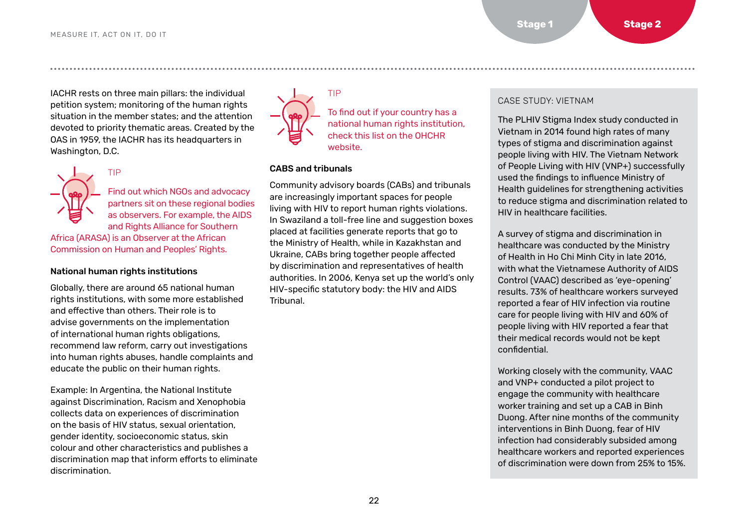IACHR rests on three main pillars: the individual petition system; monitoring of the human rights situation in the member states; and the attention devoted to priority thematic areas. Created by the OAS in 1959, the IACHR has its headquarters in Washington, D.C.



Find out which NGOs and advocacy partners sit on these regional bodies as observers. For example, the AIDS and Rights Alliance for Southern

Africa (ARASA) is an Observer at the African Commission on Human and Peoples' Rights.

#### National human rights institutions

TIP

Globally, there are around 65 national human rights institutions, with some more established and effective than others. Their role is to advise governments on the implementation of international human rights obligations, recommend law reform, carry out investigations into human rights abuses, handle complaints and educate the public on their human rights.

Example: In Argentina, the National Institute against Discrimination, Racism and Xenophobia collects data on experiences of discrimination on the basis of HIV status, sexual orientation, gender identity, socioeconomic status, skin colour and other characteristics and publishes a discrimination map that inform efforts to eliminate discrimination.



To find out if your country has a national human rights institution, check this list on the [OHCHR](https://www.ohchr.org/EN/Countries/NHRI/Pages/NHRIMain.aspx)  [website](https://www.ohchr.org/EN/Countries/NHRI/Pages/NHRIMain.aspx).

#### CABS and tribunals

TIP

Community advisory boards (CABs) and tribunals are increasingly important spaces for people living with HIV to report human rights violations. In Swaziland a toll-free line and suggestion boxes placed at facilities generate reports that go to the Ministry of Health, while in Kazakhstan and Ukraine, CABs bring together people affected by discrimination and representatives of health authorities. In 2006, Kenya set up the world's only HIV-specific statutory body: the HIV and AIDS Tribunal.

#### CASE STUDY: VIETNAM

The PLHIV Stigma Index study conducted in Vietnam in 2014 found high rates of many types of stigma and discrimination against people living with HIV. The Vietnam Network of People Living with HIV (VNP+) successfully used the findings to influence Ministry of Health guidelines for strengthening activities to reduce stigma and discrimination related to HIV in healthcare facilities.

A survey of stigma and discrimination in healthcare was conducted by the Ministry of Health in Ho Chi Minh City in late 2016, with what the Vietnamese Authority of AIDS Control (VAAC) described as 'eye-opening' results. 73% of healthcare workers surveyed reported a fear of HIV infection via routine care for people living with HIV and 60% of people living with HIV reported a fear that their medical records would not be kept confidential.

Working closely with the community, VAAC and VNP+ conducted a pilot project to engage the community with healthcare worker training and set up a CAB in Binh Duong. After nine months of the community interventions in Binh Duong, fear of HIV infection had considerably subsided among healthcare workers and reported experiences of discrimination were down from 25% to 15%.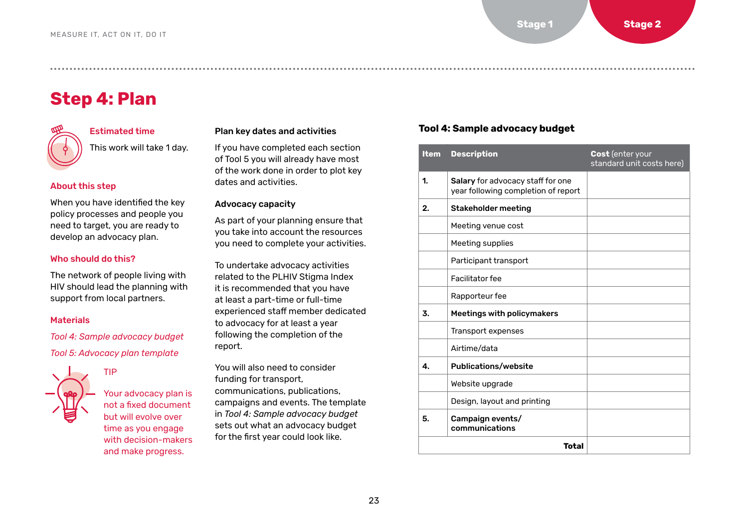## <span id="page-22-0"></span>**Step 4: Plan**



#### Estimated time This work will take 1 day.

About this step

When you have identified the key policy processes and people you need to target, you are ready to develop an advocacy plan.

#### Who should do this?

The network of people living with HIV should lead the planning with support from local partners.

#### **Materials**

*Tool 4: Sample advocacy budget* 

*[Tool 5: Advocacy plan template](#page-23-0)*

TIP



Your advocacy plan is not a fixed document but will evolve over time as you engage with decision-makers and make progress.

#### Plan key dates and activities

If you have completed each section of Tool 5 you will already have most of the work done in order to plot key dates and activities.

#### Advocacy capacity

As part of your planning ensure that you take into account the resources you need to complete your activities.

To undertake advocacy activities related to the PLHIV Stigma Index it is recommended that you have at least a part-time or full-time experienced staff member dedicated to advocacy for at least a year following the completion of the report.

You will also need to consider funding for transport, communications, publications, campaigns and events. The template in *Tool 4: Sample advocacy budget* sets out what an advocacy budget for the first year could look like.

#### **Tool 4: Sample advocacy budget**

| <b>Item</b> | <b>Description</b>                                                       | Cost (enter your<br>standard unit costs here) |
|-------------|--------------------------------------------------------------------------|-----------------------------------------------|
| 1.          | Salary for advocacy staff for one<br>year following completion of report |                                               |
| 2.          | <b>Stakeholder meeting</b>                                               |                                               |
|             | Meeting venue cost                                                       |                                               |
|             | Meeting supplies                                                         |                                               |
|             | Participant transport                                                    |                                               |
|             | Facilitator fee                                                          |                                               |
|             | Rapporteur fee                                                           |                                               |
| 3.          | Meetings with policymakers                                               |                                               |
|             | Transport expenses                                                       |                                               |
|             | Airtime/data                                                             |                                               |
| 4.          | <b>Publications/website</b>                                              |                                               |
|             | Website upgrade                                                          |                                               |
|             | Design, layout and printing                                              |                                               |
| 5.          | Campaign events/<br>communications                                       |                                               |
|             | Total                                                                    |                                               |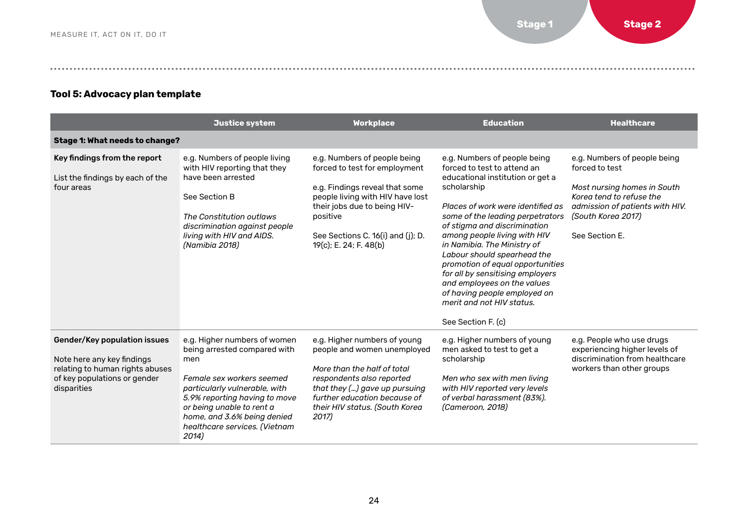#### <span id="page-23-0"></span>**Tool 5: Advocacy plan template**

|                                                                                                                                              | Justice system                                                                                                                                                                                                                                                           | <b>Workplace</b>                                                                                                                                                                                                                               | <b>Education</b>                                                                                                                                                                                                                                                                                                                                                                                                                                                                                                | <b>Healthcare</b>                                                                                                                                                                    |
|----------------------------------------------------------------------------------------------------------------------------------------------|--------------------------------------------------------------------------------------------------------------------------------------------------------------------------------------------------------------------------------------------------------------------------|------------------------------------------------------------------------------------------------------------------------------------------------------------------------------------------------------------------------------------------------|-----------------------------------------------------------------------------------------------------------------------------------------------------------------------------------------------------------------------------------------------------------------------------------------------------------------------------------------------------------------------------------------------------------------------------------------------------------------------------------------------------------------|--------------------------------------------------------------------------------------------------------------------------------------------------------------------------------------|
| Stage 1: What needs to change?                                                                                                               |                                                                                                                                                                                                                                                                          |                                                                                                                                                                                                                                                |                                                                                                                                                                                                                                                                                                                                                                                                                                                                                                                 |                                                                                                                                                                                      |
| Key findings from the report<br>List the findings by each of the<br>four areas                                                               | e.g. Numbers of people living<br>with HIV reporting that they<br>have been arrested<br>See Section B<br>The Constitution outlaws<br>discrimination against people<br>living with HIV and AIDS.<br>(Namibia 2018)                                                         | e.g. Numbers of people being<br>forced to test for employment<br>e.g. Findings reveal that some<br>people living with HIV have lost<br>their jobs due to being HIV-<br>positive<br>See Sections C. 16(i) and (j); D.<br>19(c); E. 24; F. 48(b) | e.g. Numbers of people being<br>forced to test to attend an<br>educational institution or get a<br>scholarship<br>Places of work were identified as<br>some of the leading perpetrators<br>of stigma and discrimination<br>among people living with HIV<br>in Namibia. The Ministry of<br>Labour should spearhead the<br>promotion of equal opportunities<br>for all by sensitising employers<br>and employees on the values<br>of having people employed on<br>merit and not HIV status.<br>See Section F. (c) | e.g. Numbers of people being<br>forced to test<br>Most nursing homes in South<br>Korea tend to refuse the<br>admission of patients with HIV.<br>(South Korea 2017)<br>See Section F. |
| Gender/Key population issues<br>Note here any key findings<br>relating to human rights abuses<br>of key populations or gender<br>disparities | e.g. Higher numbers of women<br>being arrested compared with<br>men<br>Female sex workers seemed<br>particularly vulnerable, with<br>5.9% reporting having to move<br>or being unable to rent a<br>home, and 3.6% being denied<br>healthcare services. (Vietnam<br>2014) | e.g. Higher numbers of young<br>people and women unemployed<br>More than the half of total<br>respondents also reported<br>that they () gave up pursuing<br>further education because of<br>their HIV status. (South Korea<br>2017)            | e.g. Higher numbers of young<br>men asked to test to get a<br>scholarship<br>Men who sex with men living<br>with HIV reported very levels<br>of verbal harassment (83%).<br>(Cameroon, 2018)                                                                                                                                                                                                                                                                                                                    | e.g. People who use drugs<br>experiencing higher levels of<br>discrimination from healthcare<br>workers than other groups                                                            |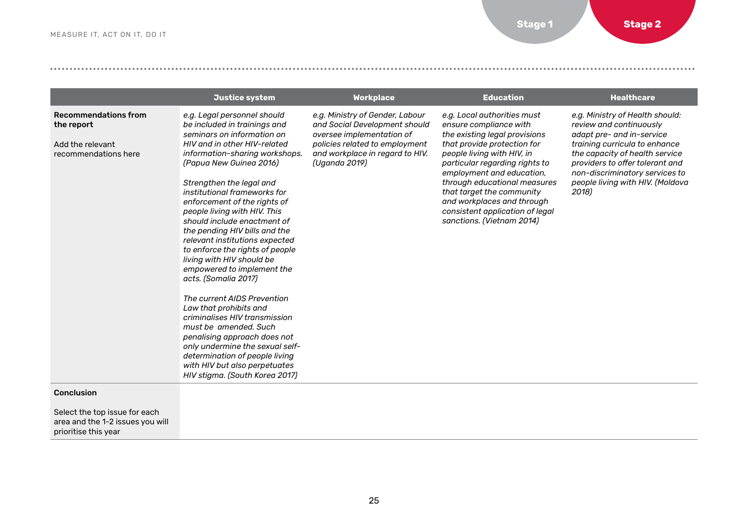|                                                                                       | Justice system                                                                                                                                                                                                                                                                                                                                                                                                                                                                                                                                                                                                                                                                                                                                                                                                                        | <b>Workplace</b>                                                                                                                                                                    | <b>Education</b>                                                                                                                                                                                                                                                                                                                                                              | <b>Healthcare</b>                                                                                                                                                                                                                                                            |
|---------------------------------------------------------------------------------------|---------------------------------------------------------------------------------------------------------------------------------------------------------------------------------------------------------------------------------------------------------------------------------------------------------------------------------------------------------------------------------------------------------------------------------------------------------------------------------------------------------------------------------------------------------------------------------------------------------------------------------------------------------------------------------------------------------------------------------------------------------------------------------------------------------------------------------------|-------------------------------------------------------------------------------------------------------------------------------------------------------------------------------------|-------------------------------------------------------------------------------------------------------------------------------------------------------------------------------------------------------------------------------------------------------------------------------------------------------------------------------------------------------------------------------|------------------------------------------------------------------------------------------------------------------------------------------------------------------------------------------------------------------------------------------------------------------------------|
| <b>Recommendations from</b><br>the report<br>Add the relevant<br>recommendations here | e.g. Legal personnel should<br>be included in trainings and<br>seminars on information on<br>HIV and in other HIV-related<br>information-sharing workshops.<br>(Papua New Guinea 2016)<br>Strengthen the legal and<br>institutional frameworks for<br>enforcement of the rights of<br>people living with HIV. This<br>should include enactment of<br>the pending HIV bills and the<br>relevant institutions expected<br>to enforce the rights of people<br>living with HIV should be<br>empowered to implement the<br>acts. (Somalia 2017)<br>The current AIDS Prevention<br>Law that prohibits and<br>criminalises HIV transmission<br>must be amended. Such<br>penalising approach does not<br>only undermine the sexual self-<br>determination of people living<br>with HIV but also perpetuates<br>HIV stigma. (South Korea 2017) | e.g. Ministry of Gender, Labour<br>and Social Development should<br>oversee implementation of<br>policies related to employment<br>and workplace in regard to HIV.<br>(Uganda 2019) | e.g. Local authorities must<br>ensure compliance with<br>the existing legal provisions<br>that provide protection for<br>people living with HIV, in<br>particular regarding rights to<br>employment and education,<br>through educational measures<br>that target the community<br>and workplaces and through<br>consistent application of legal<br>sanctions. (Vietnam 2014) | e.g. Ministry of Health should:<br>review and continuously<br>adapt pre- and in-service<br>training curricula to enhance<br>the capacity of health service<br>providers to offer tolerant and<br>non-discriminatory services to<br>people living with HIV. (Moldova<br>2018) |

#### Conclusion

Select the top issue for each area and the 1-2 issues you will prioritise this year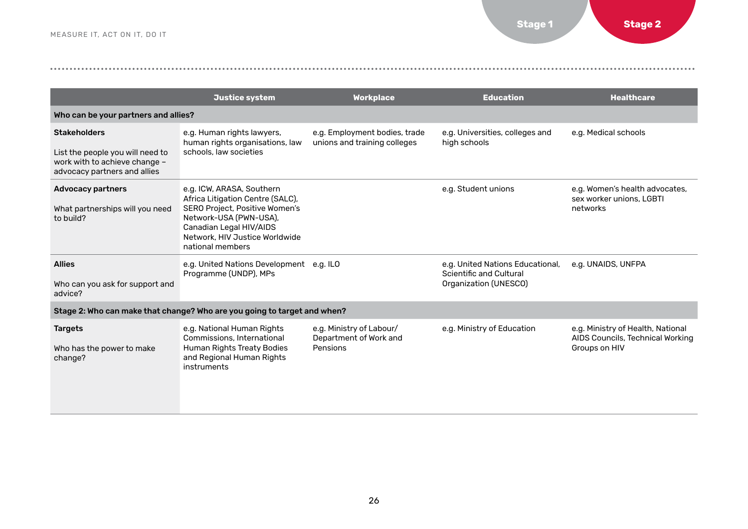|                                                                                                                          | Justice system                                                                                                                                                                                             | <b>Workplace</b>                                               | <b>Education</b>                                                                     | <b>Healthcare</b>                                                                      |  |  |
|--------------------------------------------------------------------------------------------------------------------------|------------------------------------------------------------------------------------------------------------------------------------------------------------------------------------------------------------|----------------------------------------------------------------|--------------------------------------------------------------------------------------|----------------------------------------------------------------------------------------|--|--|
| Who can be your partners and allies?                                                                                     |                                                                                                                                                                                                            |                                                                |                                                                                      |                                                                                        |  |  |
| <b>Stakeholders</b><br>List the people you will need to<br>work with to achieve change -<br>advocacy partners and allies | e.g. Human rights lawyers,<br>human rights organisations, law<br>schools, law societies                                                                                                                    | e.g. Employment bodies, trade<br>unions and training colleges  | e.g. Universities, colleges and<br>high schools                                      | e.g. Medical schools                                                                   |  |  |
| <b>Advocacy partners</b><br>What partnerships will you need<br>to build?                                                 | e.g. ICW, ARASA, Southern<br>Africa Litigation Centre (SALC),<br>SERO Project, Positive Women's<br>Network-USA (PWN-USA),<br>Canadian Legal HIV/AIDS<br>Network, HIV Justice Worldwide<br>national members |                                                                | e.g. Student unions                                                                  | e.g. Women's health advocates,<br>sex worker unions. LGBTI<br>networks                 |  |  |
| <b>Allies</b><br>Who can you ask for support and<br>advice?                                                              | e.g. United Nations Development e.g. ILO<br>Programme (UNDP), MPs                                                                                                                                          |                                                                | e.g. United Nations Educational,<br>Scientific and Cultural<br>Organization (UNESCO) | e.g. UNAIDS, UNFPA                                                                     |  |  |
|                                                                                                                          | Stage 2: Who can make that change? Who are you going to target and when?                                                                                                                                   |                                                                |                                                                                      |                                                                                        |  |  |
| <b>Targets</b><br>Who has the power to make<br>change?                                                                   | e.g. National Human Rights<br>Commissions, International<br>Human Rights Treaty Bodies<br>and Regional Human Rights<br>instruments                                                                         | e.g. Ministry of Labour/<br>Department of Work and<br>Pensions | e.g. Ministry of Education                                                           | e.g. Ministry of Health, National<br>AIDS Councils, Technical Working<br>Groups on HIV |  |  |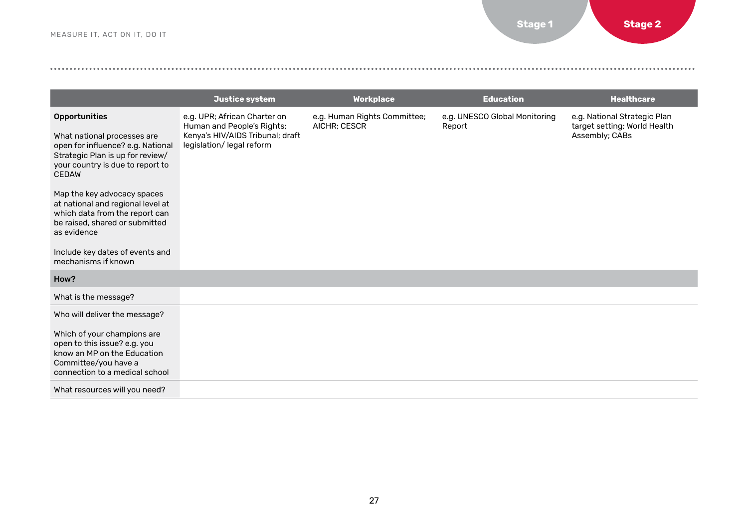|                                                                                                                                                                                       | Justice system                                                                                                              | <b>Workplace</b>                             | <b>Education</b>                        | <b>Healthcare</b>                                                              |
|---------------------------------------------------------------------------------------------------------------------------------------------------------------------------------------|-----------------------------------------------------------------------------------------------------------------------------|----------------------------------------------|-----------------------------------------|--------------------------------------------------------------------------------|
| <b>Opportunities</b><br>What national processes are<br>open for influence? e.g. National<br>Strategic Plan is up for review/<br>your country is due to report to<br><b>CEDAW</b>      | e.g. UPR; African Charter on<br>Human and People's Rights;<br>Kenya's HIV/AIDS Tribunal; draft<br>legislation/ legal reform | e.g. Human Rights Committee;<br>AICHR; CESCR | e.g. UNESCO Global Monitoring<br>Report | e.g. National Strategic Plan<br>target setting; World Health<br>Assembly; CABs |
| Map the key advocacy spaces<br>at national and regional level at<br>which data from the report can<br>be raised, shared or submitted<br>as evidence                                   |                                                                                                                             |                                              |                                         |                                                                                |
| Include key dates of events and<br>mechanisms if known                                                                                                                                |                                                                                                                             |                                              |                                         |                                                                                |
| How?                                                                                                                                                                                  |                                                                                                                             |                                              |                                         |                                                                                |
| What is the message?                                                                                                                                                                  |                                                                                                                             |                                              |                                         |                                                                                |
| Who will deliver the message?<br>Which of your champions are<br>open to this issue? e.g. you<br>know an MP on the Education<br>Committee/you have a<br>connection to a medical school |                                                                                                                             |                                              |                                         |                                                                                |
| What resources will you need?                                                                                                                                                         |                                                                                                                             |                                              |                                         |                                                                                |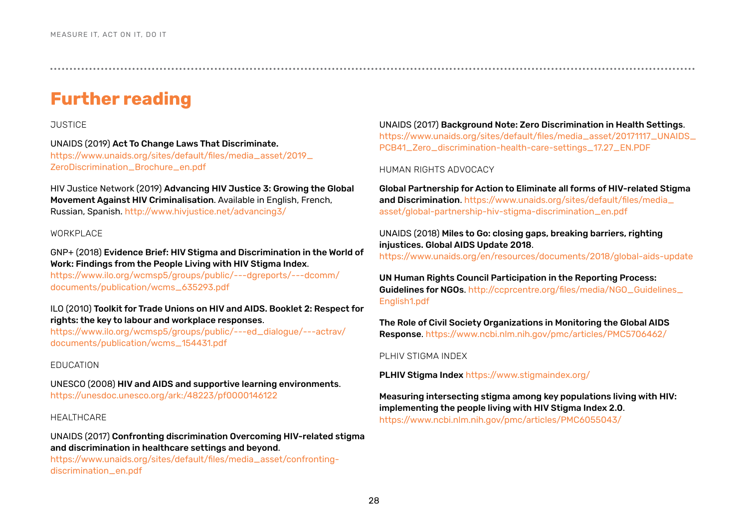## <span id="page-27-0"></span>**Further reading**

#### **JUSTICE**

#### UNAIDS (2019) Act To Change Laws That Discriminate.

[https://www.unaids.org/sites/default/files/media\\_asset/2019\\_](https://www.unaids.org/sites/default/files/media_asset/2019_ZeroDiscrimination_Brochure_en.pdf) [ZeroDiscrimination\\_Brochure\\_en.pdf](https://www.unaids.org/sites/default/files/media_asset/2019_ZeroDiscrimination_Brochure_en.pdf)

HIV Justice Network (2019) Advancing HIV Justice 3: Growing the Global Movement Against HIV Criminalisation. Available in English, French, Russian, Spanish.<http://www.hivjustice.net/advancing3/>

#### WORKPLACE

GNP+ (2018) Evidence Brief: HIV Stigma and Discrimination in the World of Work: Findings from the People Living with HIV Stigma Index.

[https://www.ilo.org/wcmsp5/groups/public/---dgreports/---dcomm/](https://www.ilo.org/wcmsp5/groups/public/---dgreports/---dcomm/documents/publication/wcms_635293.pdf) [documents/publication/wcms\\_635293.pdf](https://www.ilo.org/wcmsp5/groups/public/---dgreports/---dcomm/documents/publication/wcms_635293.pdf)

#### ILO (2010) Toolkit for Trade Unions on HIV and AIDS. Booklet 2: Respect for rights: the key to labour and workplace responses.

[https://www.ilo.org/wcmsp5/groups/public/---ed\\_dialogue/---actrav/](https://www.ilo.org/wcmsp5/groups/public/---ed_dialogue/---actrav/documents/publication/wcms_154431.pdf) [documents/publication/wcms\\_154431.pdf](https://www.ilo.org/wcmsp5/groups/public/---ed_dialogue/---actrav/documents/publication/wcms_154431.pdf)

#### EDUCATION

UNESCO (2008) HIV and AIDS and supportive learning environments. <https://unesdoc.unesco.org/ark:/48223/pf0000146122>

#### HEALTHCARE

UNAIDS (2017) Confronting discrimination Overcoming HIV-related stigma and discrimination in healthcare settings and beyond.

[https://www.unaids.org/sites/default/files/media\\_asset/confronting](https://www.unaids.org/sites/default/files/media_asset/confronting-discrimination_en.pdf)[discrimination\\_en.pdf](https://www.unaids.org/sites/default/files/media_asset/confronting-discrimination_en.pdf)

UNAIDS (2017) Background Note: Zero Discrimination in Health Settings.

[https://www.unaids.org/sites/default/files/media\\_asset/20171117\\_UNAIDS\\_](https://www.unaids.org/sites/default/files/media_asset/20171117_UNAIDS_PCB41_Zero_discrimination-health-care-settings_17.27_EN.PDF) [PCB41\\_Zero\\_discrimination-health-care-settings\\_17.27\\_EN.PDF](https://www.unaids.org/sites/default/files/media_asset/20171117_UNAIDS_PCB41_Zero_discrimination-health-care-settings_17.27_EN.PDF)

HUMAN RIGHTS ADVOCACY

Global Partnership for Action to Eliminate all forms of HIV-related Stigma and Discrimination. [https://www.unaids.org/sites/default/files/media\\_](https://www.unaids.org/sites/default/files/media_asset/global-partnership-hiv-stigma-discrimination_en.pdf) [asset/global-partnership-hiv-stigma-discrimination\\_en.pdf](https://www.unaids.org/sites/default/files/media_asset/global-partnership-hiv-stigma-discrimination_en.pdf)

#### UNAIDS (2018) Miles to Go: closing gaps, breaking barriers, righting injustices. Global AIDS Update 2018. <https://www.unaids.org/en/resources/documents/2018/global-aids-update>

UN Human Rights Council Participation in the Reporting Process: Guidelines for NGOs. [http://ccprcentre.org/files/media/NGO\\_Guidelines\\_](http://ccprcentre.org/files/media/NGO_Guidelines_English1.pdf) [English1.pdf](http://ccprcentre.org/files/media/NGO_Guidelines_English1.pdf)

The Role of Civil Society Organizations in Monitoring the Global AIDS Response.<https://www.ncbi.nlm.nih.gov/pmc/articles/PMC5706462/>

PLHIV STIGMA INDEX

PLHIV Stigma Index https://www.stigmaindex.org/

Measuring intersecting stigma among key populations living with HIV: implementing the people living with HIV Stigma Index 2.0. <https://www.ncbi.nlm.nih.gov/pmc/articles/PMC6055043/>